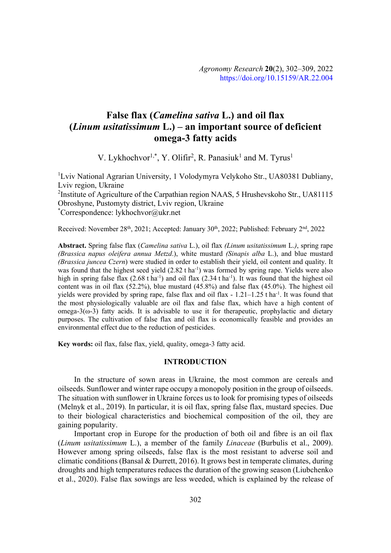# **False flax** (*Camelina sativa* L.) and oil flax (*Linum usitatissimum* L.) – an important source of deficient **omega-3 fatty acids**

V. Lykhochvor<sup>1,\*</sup>, Y. Olifir<sup>2</sup>, R. Panasiuk<sup>1</sup> and M. Tyrus<sup>1</sup>

<sup>1</sup>Lviv National Agrarian University, 1 Volodymyra Velykoho Str., UA80381 Dubliany, Lviv region, Ukraine <sup>2</sup>Institute of Agriculture of the Carpathian region NAAS, 5 Hrushevskoho Str., UA81115 Obroshyne, Pustomyty district, Lviv region, Ukraine \* Correspondence: lykhochvor@ukr.net

Received: November 28<sup>th</sup>, 2021; Accepted: January 30<sup>th</sup>, 2022; Published: February 2<sup>nd</sup>, 2022

Abstract. Spring false flax *(Camelina sativa L.)*, oil flax *(Linum usitatissimum L.)*, spring rape *(Brassica napus oleifera annua Metzd.), white mustard <i>(Sinapis alba L.), and blue mustard (Brassica juncea Czern)* were studied in order to establish their yield, oil content and quality. It was found that the highest seed yield (2.82 t ha<sup>-1</sup>) was formed by spring rape. Yields were also high in spring false flax  $(2.68 \text{ t} \text{ ha}^{-1})$  and oil flax  $(2.34 \text{ t} \text{ ha}^{-1})$ . It was found that the highest oil content was in oil flax (52.2%), blue mustard (45.8%) and false flax (45.0%). The highest oil yields were provided by spring rape, false flax and oil flax - 1.21–1.25 t ha<sup>-1</sup>. It was found that the most physiologically valuable are oil flax and false flax, which have a high content of omega- $3(\omega-3)$  fatty acids. It is advisable to use it for the appropriate prophylactic and dietary purposes. The cultivation of false flax and oil flax is economically feasible and provides an environmental effect due to the reduction of pesticides.

**Key words:** oil flax, false flax, yield, quality, omega-3 fatty acid.

#### **INTRODUCTION**

In the structure of sown areas in Ukraine, the most common are cereals and oilseeds. Sunflower and winter rape occupy a monopoly position in the group of oilseeds. The situation with sunflower in Ukraine forces us to look for promising types of oilseeds (Melnyk et al., 2019). In particular, it is oil flax, spring false flax, mustard species. Due to their biological characteristics and biochemical composition of the oil, they are gaining popularity.

Important crop in Europe for the production of both oil and fibre is an oil flax (*Linum usitatissimum L.*), a member of the family *Linaceae* (Burbulis et al., 2009). However among spring oilseeds, false flax is the most resistant to adverse soil and climatic conditions (Bansal & Durrett, 2016). It grows best in temperate climates, during droughts and high temperatures reduces the duration of the growing season (Liubchenko et al., 2020). False flax sowings are less weeded, which is explained by the release of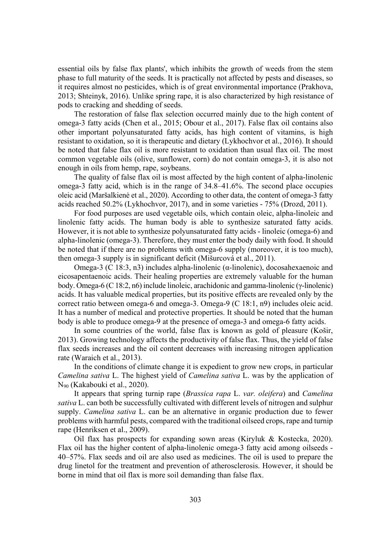essential oils by false flax plants', which inhibits the growth of weeds from the stem phase to full maturity of the seeds. It is practically not affected by pests and diseases, so it requires almost no pesticides, which is of great environmental importance (Prakhova, 2013; Shteinyk, 2016). Unlike spring rape, it is also characterized by high resistance of pods to cracking and shedding of seeds.

The restoration of false flax selection occurred mainly due to the high content of omega-3 fatty acids (Chen et al., 2015; Obour et al., 2017). False flax oil contains also other important polyunsaturated fatty acids, has high content of vitamins, is high resistant to oxidation, so it is therapeutic and dietary (Lykhochvor et al., 2016). It should be noted that false flax oil is more resistant to oxidation than usual flax oil. The most common vegetable oils (olive, sunflower, corn) do not contain omega-3, it is also not enough in oils from hemp, rape, soybeans.

The quality of false flax oil is most affected by the high content of alpha-linolenic omega-3 fatty acid, which is in the range of 34.8–41.6%. The second place occupies oleic acid (Maršalkienė et al., 2020). According to other data, the content of omega-3 fatty acids reached 50.2% (Lykhochvor, 2017), and in some varieties - 75% (Drozd, 2011).

For food purposes are used vegetable oils, which contain oleic, alpha-linoleic and linolenic fatty acids. The human body is able to synthesize saturated fatty acids. However, it is not able to synthesize polyunsaturated fatty acids - linoleic (omega-6) and alpha-linolenic (omega-3). Therefore, they must enter the body daily with food. It should be noted that if there are no problems with omega-6 supply (moreover, it is too much), then omega-3 supply is in significant deficit (Mišurcová et al., 2011).

Omega-3 (C 18:3, n3) includes alpha-linolenic ( $\alpha$ -linolenic), docosahexaenoic and eicosapentaenoic acids. Their healing properties are extremely valuable for the human body. Omega-6 (C 18:2, n6) include linoleic, arachidonic and gamma-linolenic ( $\gamma$ -linolenic) acids. It has valuable medical properties, but its positive effects are revealed only by the correct ratio between omega-6 and omega-3. Omega-9 (C 18:1, n9) includes oleic acid. It has a number of medical and protective properties. It should be noted that the human body is able to produce omega-9 at the presence of omega-3 and omega-6 fatty acids.

In some countries of the world, false flax is known as gold of pleasure (Košir, 2013). Growing technology affects the productivity of false flax. Thus, the yield of false flax seeds increases and the oil content decreases with increasing nitrogen application rate (Waraich et al., 2013).

In the conditions of climate change it is expedient to grow new crops, in particular *Camelina sativa* L. The highest yield of *Camelina sativa* L. was by the application of N90 (Kakabouki et al., 2020).

It appears that spring turnip rape (*Brassica rapa L. var. oleifera*) and *Camelina* sativa L. can both be successfully cultivated with different levels of nitrogen and sulphur supply. *Camelina sativa* L. can be an alternative in organic production due to fewer problems with harmful pests, compared with the traditional oilseed crops, rape and turnip rape (Henriksen et al., 2009).

Oil flax has prospects for expanding sown areas (Kiryluk & Kostecka, 2020). Flax oil has the higher content of alpha-linolenic omega-3 fatty acid among oilseeds - 40–57%. Flax seeds and oil are also used as medicines. The oil is used to prepare the drug linetol for the treatment and prevention of atherosclerosis. However, it should be borne in mind that oil flax is more soil demanding than false flax.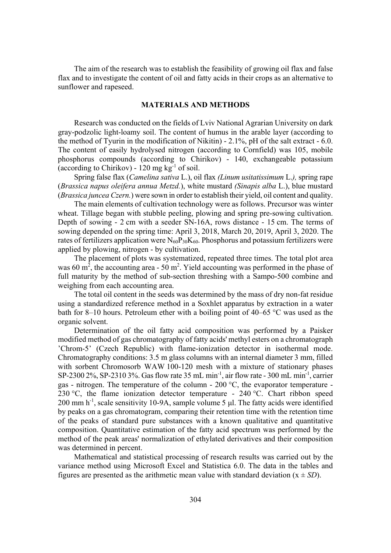The aim of the research was to establish the feasibility of growing oil flax and false flax and to investigate the content of oil and fatty acids in their crops as an alternative to sunflower and rapeseed.

## **MATERIALS AND METHODS**

Research was conducted on the fields of Lviv National Agrarian University on dark gray-podzolic light-loamy soil. The content of humus in the arable layer (according to the method of Tyurin in the modification of Nikitin) - 2.1%, pH of the salt extract - 6.0. The content of easily hydrolysed nitrogen (according to Cornfield) was 105, mobile phosphorus compounds (according to Chirikov) - 140, exchangeable potassium (according to Chirikov) -  $120 \text{ mg kg}^{-1}$  of soil.

Spring false flax (*Camelina sativa L.*), oil flax *(Linum usitatissimum L.)*, spring rape (*Brassica napus oleifera annua Metzd.*), white mustard *(Sinapis alba L.*), blue mustard (*Brassica juncea Czern.*) were sown in order to establish their yield, oil content and quality.

The main elements of cultivation technology were as follows. Precursor was winter wheat. Tillage began with stubble peeling, plowing and spring pre-sowing cultivation. Depth of sowing - 2 cm with a seeder SN-16A, rows distance - 15 cm. The terms of sowing depended on the spring time: April 3, 2018, March 20, 2019, April 3, 2020. The rates of fertilizers application were  $N_{60}P_{30}K_{60}$ . Phosphorus and potassium fertilizers were applied by plowing, nitrogen - by cultivation.

The placement of plots was systematized, repeated three times. The total plot area was 60 m<sup>2</sup>, the accounting area - 50 m<sup>2</sup>. Yield accounting was performed in the phase of full maturity by the method of sub-section threshing with a Sampo-500 combine and weighing from each accounting area.

The total oil content in the seeds was determined by the mass of dry non-fat residue using a standardized reference method in a Soxhlet apparatus by extraction in a water bath for 8–10 hours. Petroleum ether with a boiling point of 40–65 °C was used as the organic solvent.

Determination of the oil fatty acid composition was performed by a Paisker modified method of gas chromatography of fatty acids' methyl esters on a chromatograph 'Chrom-5' (Czech Republic) with flame-ionization detector in isothermal mode. Chromatography conditions: 3.5 m glass columns with an internal diameter 3 mm, filled with sorbent Chromosorb WAW 100-120 mesh with a mixture of stationary phases SP-2300 2%, SP-2310 3%. Gas flow rate 35 mL min<sup>-1</sup>, air flow rate - 300 mL min<sup>-1</sup>, carrier gas - nitrogen. The temperature of the column - 200 °C, the evaporator temperature - 230 °C, the flame ionization detector temperature - 240 °C. Chart ribbon speed 200 mm  $h^{-1}$ , scale sensitivity 10-9A, sample volume 5 µl. The fatty acids were identified by peaks on a gas chromatogram, comparing their retention time with the retention time of the peaks of standard pure substances with a known qualitative and quantitative composition. Quantitative estimation of the fatty acid spectrum was performed by the method of the peak areas' normalization of ethylated derivatives and their composition was determined in percent.

Mathematical and statistical processing of research results was carried out by the variance method using Microsoft Excel and Statistica 6.0. The data in the tables and figures are presented as the arithmetic mean value with standard deviation  $(x \pm SD)$ .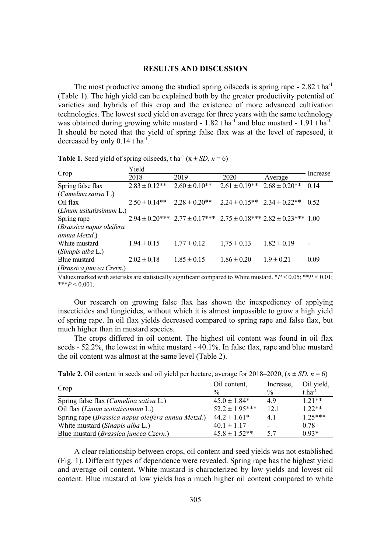#### **RESULTS AND DISCUSSION**

The most productive among the studied spring oilseeds is spring rape  $-2.82$  t ha<sup>-1</sup> (Table 1). The high yield can be explained both by the greater productivity potential of varieties and hybrids of this crop and the existence of more advanced cultivation technologies. The lowest seed yield on average for three years with the same technology was obtained during growing white mustard -  $1.82$  t ha<sup>-1</sup> and blue mustard -  $1.91$  t ha<sup>-1</sup>. It should be noted that the yield of spring false flax was at the level of rapeseed, it decreased by only  $0.14$  t ha<sup>-1</sup>.

| <b>There</b> is seen there of spring onseeds, $\lim_{n \to \infty}$ , $\lim_{n \to \infty}$ |                    |                                                                                    |                                     |                    |          |  |  |  |
|---------------------------------------------------------------------------------------------|--------------------|------------------------------------------------------------------------------------|-------------------------------------|--------------------|----------|--|--|--|
| Crop                                                                                        | Yield              |                                                                                    |                                     |                    |          |  |  |  |
|                                                                                             | 2018               | 2019                                                                               | 2020                                | Average            | Increase |  |  |  |
| Spring false flax                                                                           | $2.83 \pm 0.12$ ** | $2.60 \pm 0.10**$                                                                  | $2.61 \pm 0.19**$                   | $2.68 \pm 0.20$ ** | 0.14     |  |  |  |
| (Camelina sativa L.)                                                                        |                    |                                                                                    |                                     |                    |          |  |  |  |
| Oil flax                                                                                    | $2.50 \pm 0.14**$  | $2.28 \pm 0.20$ **                                                                 | $2.24 \pm 0.15**$ $2.34 \pm 0.22**$ |                    | 0.52     |  |  |  |
| $(Linum$ usitatissimum $L.$ )                                                               |                    |                                                                                    |                                     |                    |          |  |  |  |
| Spring rape                                                                                 |                    | $2.94 \pm 0.20***$ $2.77 \pm 0.17***$ $2.75 \pm 0.18***$ $2.82 \pm 0.23***$ $1.00$ |                                     |                    |          |  |  |  |
| (Brassica napus oleifera                                                                    |                    |                                                                                    |                                     |                    |          |  |  |  |
| annua Metzd.)                                                                               |                    |                                                                                    |                                     |                    |          |  |  |  |
| White mustard                                                                               | $1.94 \pm 0.15$    | $1.77 \pm 0.12$                                                                    | $1,75 \pm 0.13$                     | $1.82 \pm 0.19$    |          |  |  |  |
| (Sinapis alba L.)                                                                           |                    |                                                                                    |                                     |                    |          |  |  |  |
| Blue mustard                                                                                | $2.02 \pm 0.18$    | $1.85 \pm 0.15$                                                                    | $1.86 \pm 0.20$                     | $1.9 \pm 0.21$     | 0.09     |  |  |  |
| (Brassica juncea Czern.)                                                                    |                    |                                                                                    |                                     |                    |          |  |  |  |

**Table 1.** Seed yield of spring oilseeds, t ha<sup>-1</sup> ( $x \pm SD$ ,  $n = 6$ )

Values marked with asterisks are statistically significant compared to White mustard. \**P* < 0.05; \*\**P* < 0.01;  $***P<0.001$ .

Our research on growing false flax has shown the inexpediency of applying insecticides and fungicides, without which it is almost impossible to grow a high yield of spring rape. In oil flax yields decreased compared to spring rape and false flax, but much higher than in mustard species.

The crops differed in oil content. The highest oil content was found in oil flax seeds - 52.2%, the lowest in white mustard - 40.1%. In false flax, rape and blue mustard the oil content was almost at the same level (Table 2).

|                                                    | Oil content,       | Increase,                | Oil yield,         |
|----------------------------------------------------|--------------------|--------------------------|--------------------|
| Crop                                               | $\frac{0}{0}$      | $\frac{0}{0}$            | t ha <sup>-1</sup> |
| Spring false flax ( <i>Camelina sativa L.</i> )    | $45.0 \pm 1.84*$   | 4.9                      | $1.21**$           |
| Oil flax ( <i>Linum usitatissimum L</i> .)         | $52.2 \pm 1.95***$ | 12.1                     | $1.22**$           |
| Spring rape (Brassica napus oleifera annua Metzd.) | $44.2 \pm 1.61*$   | 4.1                      | $1.25***$          |
| White mustard (Sinapis alba L.)                    | $40.1 \pm 1.17$    | $\overline{\phantom{0}}$ | 0.78               |
| Blue mustard ( <i>Brassica juncea Czern</i> .)     | $45.8 \pm 1.52**$  | 5.7                      | $0.93*$            |

**Table 2.** Oil content in seeds and oil yield per hectare, average for 2018–2020,  $(x \pm SD, n = 6)$ 

A clear relationship between crops, oil content and seed yields was not established (Fig. 1). Different types of dependence were revealed. Spring rape has the highest yield and average oil content. White mustard is characterized by low yields and lowest oil content. Blue mustard at low yields has a much higher oil content compared to white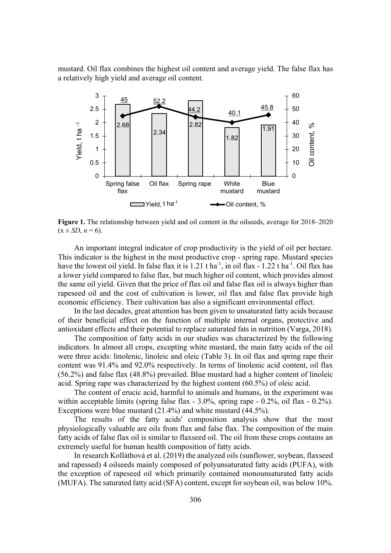mustard. Oil flax combines the highest oil content and average yield. The false flax has a relatively high yield and average oil content.



**Figure 1.** The relationship between yield and oil content in the oilseeds, average for 2018–2020  $(x \pm SD, n = 6)$ .

An important integral indicator of crop productivity is the yield of oil per hectare. This indicator is the highest in the most productive crop - spring rape. Mustard species have the lowest oil yield. In false flax it is 1.21 t ha<sup>-1</sup>, in oil flax - 1.22 t ha<sup>-1</sup>. Oil flax has a lower yield compared to false flax, but much higher oil content, which provides almost the same oil yield. Given that the price of flax oil and false flax oil is always higher than rapeseed oil and the cost of cultivation is lower, oil flax and false flax provide high economic efficiency. Their cultivation has also a significant environmental effect.

In the last decades, great attention has been given to unsaturated fatty acids because of their beneficial effect on the function of multiple internal organs, protective and antioxidant effects and their potential to replace saturated fats in nutrition (Varga, 2018).

The composition of fatty acids in our studies was characterized by the following indicators. In almost all crops, excepting white mustard, the main fatty acids of the oil were three acids: linolenic, linoleic and oleic (Table 3). In oil flax and spring rape their content was 91.4% and 92.0% respectively. In terms of linolenic acid content, oil flax (56.2%) and false flax (48.8%) prevailed. Blue mustard had a higher content of linoleic acid. Spring rape was characterized by the highest content (60.5%) of oleic acid.

The content of erucic acid, harmful to animals and humans, in the experiment was within acceptable limits (spring false flax - 3.0%, spring rape - 0.2%, oil flax - 0.2%). Exceptions were blue mustard (21.4%) and white mustard (44.5%).

The results of the fatty acids' composition analysis show that the most physiologically valuable are oils from flax and false flax. The composition of the main fatty acids of false flax oil is similar to flaxseed oil. The oil from these crops contains an extremely useful for human health composition of fatty acids.

In research Kolláthová et al. (2019) the analyzed oils (sunflower, soybean, flaxseed and rapessed) 4 oilseeds mainly composed of polyunsaturated fatty acids (PUFA), with the exception of rapeseed oil which primarily contained monounsaturated fatty acids (MUFA). The saturated fatty acid (SFA) content, except for soybean oil, was below 10%.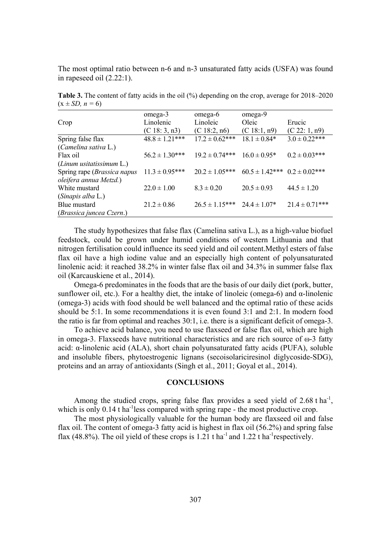The most optimal ratio between n-6 and n-3 unsaturated fatty acids (USFA) was found in rapeseed oil (2.22:1).

**Table 3.** The content of fatty acids in the oil (%) depending on the crop, average for 2018–2020  $(x \pm SD, n = 6)$ 

|                               | omega-3             | omega-6             | omega-9                                |                     |
|-------------------------------|---------------------|---------------------|----------------------------------------|---------------------|
| Crop                          | Linolenic           | Linoleic            | Oleic                                  | Erucic              |
|                               | (C 18: 3, n3)       | (C 18:2, n6)        | (C 18:1, n9)                           | (C 22: 1, n9)       |
| Spring false flax             | $48.8 \pm 1.21$ *** | $17.2 \pm 0.62$ *** | $18.1 \pm 0.84*$                       | $3.0 \pm 0.22***$   |
| (Camelina sativa L.)          |                     |                     |                                        |                     |
| Flax oil                      | $56.2 \pm 1.30***$  | $19.2 \pm 0.74***$  | $16.0 \pm 0.95^*$                      | $0.2 \pm 0.03$ ***  |
| $(Linum$ usitatissimum $L$ .) |                     |                     |                                        |                     |
| Spring rape (Brassica napus   | $11.3 \pm 0.95***$  | $20.2 \pm 1.05***$  | $60.5 \pm 1.42$ *** $0.2 \pm 0.02$ *** |                     |
| oleifera annua Metzd.)        |                     |                     |                                        |                     |
| White mustard                 | $22.0 \pm 1.00$     | $8.3 \pm 0.20$      | $20.5 \pm 0.93$                        | $44.5 \pm 1.20$     |
| (Sinapis alba L.)             |                     |                     |                                        |                     |
| Blue mustard                  | $21.2 \pm 0.86$     | $26.5 \pm 1.15***$  | $24.4 \pm 1.07*$                       | $21.4 \pm 0.71$ *** |
| (Brassica juncea Czern.)      |                     |                     |                                        |                     |

The study hypothesizes that false flax (Camelina sativa L.), as a high-value biofuel feedstock, could be grown under humid conditions of western Lithuania and that nitrogen fertilisation could influence its seed yield and oil content.Methyl esters of false flax oil have a high iodine value and an especially high content of polyunsaturated linolenic acid: it reached 38.2% in winter false flax oil and 34.3% in summer false flax oil (Karcauskiene et al., 2014).

Omega-6 predominates in the foods that are the basis of our daily diet (pork, butter, sunflower oil, etc.). For a healthy diet, the intake of linoleic (omega-6) and  $\alpha$ -linolenic (omega-3) acids with food should be well balanced and the optimal ratio of these acids should be 5:1. In some recommendations it is even found 3:1 and 2:1. In modern food the ratio is far from optimal and reaches 30:1, i.e. there is a significant deficit of omega-3.

To achieve acid balance, you need to use flaxseed or false flax oil, which are high in omega-3. Flaxseeds have nutritional characteristics and are rich source of  $\omega$ -3 fatty acid:  $\alpha$ -linolenic acid (ALA), short chain polyunsaturated fatty acids (PUFA), soluble and insoluble fibers, phytoestrogenic lignans (secoisolariciresinol diglycoside-SDG), proteins and an array of antioxidants (Singh et al., 2011; Goyal et al., 2014).

### **CONCLUSIONS**

Among the studied crops, spring false flax provides a seed yield of  $2.68$  t ha<sup>-1</sup>, which is only 0.14 t ha<sup>-1</sup>less compared with spring rape - the most productive crop.

The most physiologically valuable for the human body are flaxseed oil and false flax oil. The content of omega-3 fatty acid is highest in flax oil (56.2%) and spring false flax (48.8%). The oil yield of these crops is 1.21 t ha<sup>-1</sup> and 1.22 t ha<sup>-1</sup> respectively.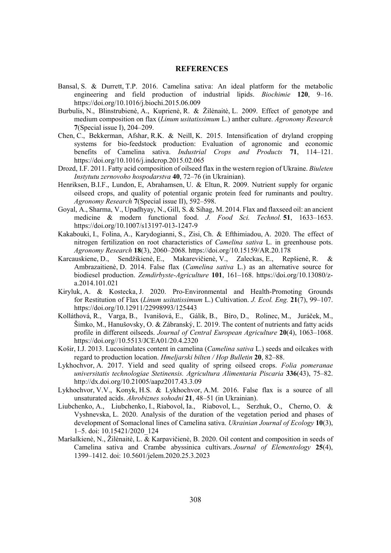#### **REFERENCES**

- Bansal, S. & Durrett, T.P. 2016. Camelina sativa: An ideal platform for the metabolic engineering and field production of industrial lipids. *Biochimie* **120**, 9–16. https://doi.org/10.1016/j.biochi.2015.06.009
- Burbulis, N., Blinstrubienė, A., Kuprienė, R. & Žilėnaitė, L. 2009. Effect of genotype and medium composition on flax (*Linum usitatissimum L.*) anther culture. *Agronomy Research* **7**(Special issue I), 204–209.
- Chen, C., Bekkerman, Afshar, R.K. & Neill, K. 2015. Intensification of dryland cropping systems for bio-feedstock production: Evaluation of agronomic and economic benefits of Camelina sativa. *Industrial Crops and Products* 71, 114–121. https://doi.org/10.1016/j.indcrop.2015.02.065
- Drozd, I.F. 2011. Fatty acid composition of oilseed flax in the western region of Ukraine. *Biuleten Instytutu zernovoho hospodarstva* 40, 72–76 (in Ukrainian).
- Henriksen, B.I.F., Lundon, E, Abrahamsen, U. & Eltun, R. 2009. Nutrient supply for organic oilseed crops, and quality of potential organic protein feed for ruminants and poultry. *Agronomy Research* **7**(Special issue II), 592–598.
- Goyal, A., Sharma, V., Upadhyay, N., Gill, S. & Sihag, M. 2014. Flax and flaxseed oil: an ancient medicine & modern functional food. *J. Food Sci. Technol*. **51**, 1633–1653. https://doi.org/10.1007/s13197-013-1247-9
- Kakabouki, I., Folina, A., Karydogianni, S., Zisi, Ch. & Efthimiadou, A. 2020. The effect of nitrogen fertilization on root characteristics of *Camelina sativa* L. in greenhouse pots. *Agronomy Research* **18**(3), 2060–2068. https://doi.org/10.15159/AR.20.178
- Karcauskiene, D., Sendžikienė, E., Makarevičienė, V., Zaleckas, E., Repšienė, R. & Ambrazaitienė, D. 2014. False flax (*Camelina sativa* L.) as an alternative source for biodiesel production. *Zemdirbyste-Agriculture* **101**, 161–168. https://doi.org/10.13080/za.2014.101.021
- Kiryluk, A. & Kostecka, J. 2020. Pro-Environmental and Health-Promoting Grounds for Restitution of Flax (*Linum usitatissimum L.*) Cultivation. *J. Ecol. Eng.* 21(7), 99–107. https://doi.org/10.12911/22998993/125443
- Kolláthová, R., Varga, B., Ivanišová, E., Gálik, B., Bíro, D., Rolinec, M., Juráček, M., Šimko, M., Hanušovsky, O. & Zábranský, Ľ. 2019. The content of nutrients and fatty acids profile in different oilseeds. *Journal of Central European Agriculture* **20**(4), 1063–1068. https://doi.org//10.5513/JCEA01/20.4.2320
- Košir, I.J. 2013. Lucosinulates content in camelina *(Camelina sativa L.)* seeds and oilcakes with regard to production location. *Hmeliarski bilten / Hop Bulletin* 20, 82–88.
- Lykhochvor, A. 2017. Yield and seed quality of spring oilseed crops. Folia pomeranae *XQLYHUVLWDWLV WHFKQRORJLDH 6WHWLQHQVLV \$JULFXOWXUD \$OLPHQWDULD Piscaria* **336**(43), 75–82. http://dx.doi.org/10.21005/aapz2017.43.3.09
- Lykhochvor, V.V., Konyk, H.S. & Lykhochvor, A.M. 2016. False flax is a source of all unsaturated acids. *Ahrobiznes sohodni* 21, 48–51 (in Ukrainian).
- Liubchenko, A., Liubchenko, I., Riabovol, Ia., Riabovol, L., Serzhuk, O., Cherno, O. & Vyshnevska, L. 2020. Analysis of the duration of the vegetation period and phases of development of Somaclonal lines of Camelina sativa. *Ukrainian Journal of Ecology* 10(3), 1–5. doi: 10.15421/2020\_124
- Maršalkienė, N., Žilėnaitė, L. & Karpavičienė, B. 2020. Oil content and composition in seeds of Camelina sativa and Crambe abyssinica cultivars. *Journal of Elementology* 25(4), 1399–1412. doi: 10.5601/jelem.2020.25.3.2023